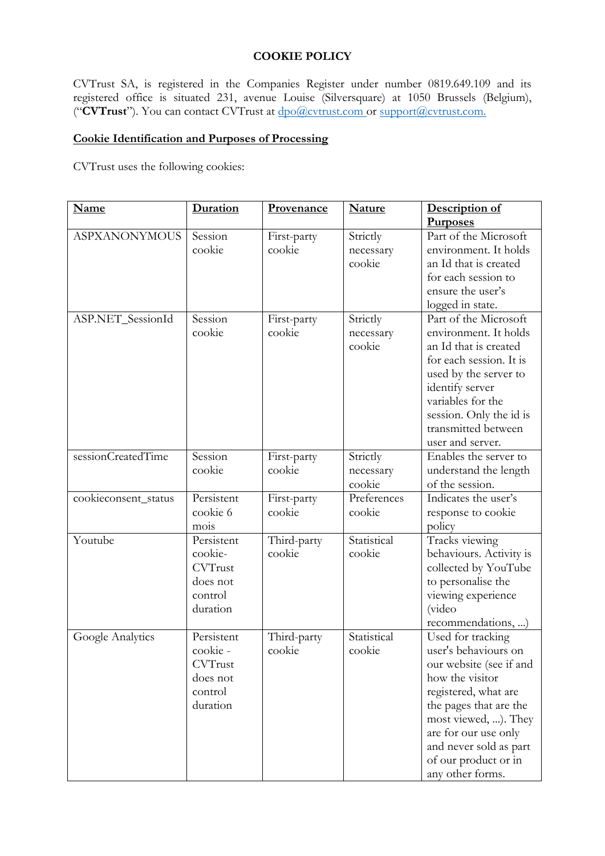### **COOKIE POLICY**

CVTrust SA, is registered in the Companies Register under number 0819.649.109 and its registered office is situated 231, avenue Louise (Silversquare) at 1050 Brussels (Belgium), ("**CVTrust**"). You can contact CVTrust at [dpo@cvtrust.com](mailto:dpo@cvtrust.com) or [support@cvtrust.com.](mailto:support@cvtrust.com)

# **Cookie Identification and Purposes of Processing**

CVTrust uses the following cookies:

| <b>Name</b>          | Duration                                                                    | Provenance            | <b>Nature</b>                   | Description of<br><b>Purposes</b>                                                                                                                                                                                                                               |
|----------------------|-----------------------------------------------------------------------------|-----------------------|---------------------------------|-----------------------------------------------------------------------------------------------------------------------------------------------------------------------------------------------------------------------------------------------------------------|
| <b>ASPXANONYMOUS</b> | Session<br>cookie                                                           | First-party<br>cookie | Strictly<br>necessary<br>cookie | Part of the Microsoft<br>environment. It holds<br>an Id that is created<br>for each session to<br>ensure the user's<br>logged in state.                                                                                                                         |
| ASP.NET_SessionId    | Session<br>cookie                                                           | First-party<br>cookie | Strictly<br>necessary<br>cookie | Part of the Microsoft<br>environment. It holds<br>an Id that is created<br>for each session. It is<br>used by the server to<br>identify server<br>variables for the<br>session. Only the id is<br>transmitted between<br>user and server.                       |
| sessionCreatedTime   | Session<br>cookie                                                           | First-party<br>cookie | Strictly<br>necessary<br>cookie | Enables the server to<br>understand the length<br>of the session.                                                                                                                                                                                               |
| cookieconsent_status | Persistent<br>cookie 6<br>mois                                              | First-party<br>cookie | Preferences<br>cookie           | Indicates the user's<br>response to cookie<br>policy                                                                                                                                                                                                            |
| Youtube              | Persistent<br>cookie-<br><b>CVTrust</b><br>does not<br>control<br>duration  | Third-party<br>cookie | Statistical<br>cookie           | Tracks viewing<br>behaviours. Activity is<br>collected by YouTube<br>to personalise the<br>viewing experience<br>(video<br>recommendations, )                                                                                                                   |
| Google Analytics     | Persistent<br>cookie -<br><b>CVTrust</b><br>does not<br>control<br>duration | Third-party<br>cookie | Statistical<br>cookie           | Used for tracking<br>user's behaviours on<br>our website (see if and<br>how the visitor<br>registered, what are<br>the pages that are the<br>most viewed, ). They<br>are for our use only<br>and never sold as part<br>of our product or in<br>any other forms. |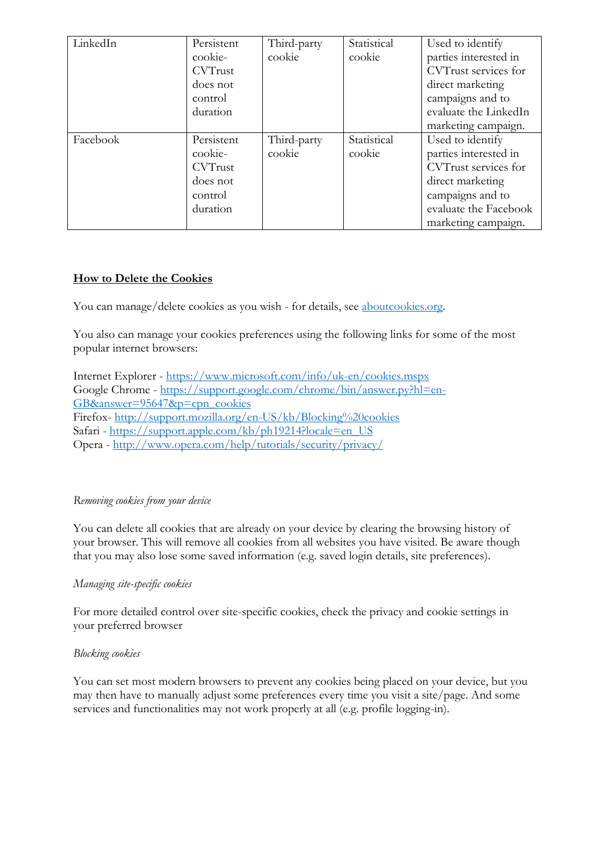| LinkedIn | Persistent<br>cookie-<br><b>CVTrust</b><br>does not<br>control<br>duration | Third-party<br>cookie | Statistical<br>cookie | Used to identify<br>parties interested in<br>CVTrust services for<br>direct marketing<br>campaigns and to<br>evaluate the LinkedIn                        |
|----------|----------------------------------------------------------------------------|-----------------------|-----------------------|-----------------------------------------------------------------------------------------------------------------------------------------------------------|
|          |                                                                            |                       |                       | marketing campaign.                                                                                                                                       |
| Facebook | Persistent<br>cookie-<br><b>CVTrust</b><br>does not<br>control<br>duration | Third-party<br>cookie | Statistical<br>cookie | Used to identify<br>parties interested in<br>CVTrust services for<br>direct marketing<br>campaigns and to<br>evaluate the Facebook<br>marketing campaign. |

# **How to Delete the Cookies**

You can manage/delete cookies as you wish - for details, see [aboutcookies.org.](https://www.aboutcookies.org/)

You also can manage your cookies preferences using the following links for some of the most popular internet browsers:

Internet Explorer - [https://www.microsoft.com/info/uk-en/cookies.mspx](https://privacy.microsoft.com/en-gb/privacystatement) Google Chrome - [https://support.google.com/chrome/bin/answer.py?hl=en-](https://support.google.com/chrome/bin/answer.py?hl=en-GB&answer=95647&p=cpn_cookies)[GB&answer=95647&p=cpn\\_cookies](https://support.google.com/chrome/bin/answer.py?hl=en-GB&answer=95647&p=cpn_cookies) Firefox- [http://support.mozilla.org/en-US/kb/Blocking%20cookies](https://support.mozilla.org/en-US/kb/Blocking%20cookies) Safari - [https://support.apple.com/kb/ph19214?locale=en\\_US](https://support.apple.com/kb/ph19214?locale=en_US) Opera - [http://www.opera.com/help/tutorials/security/privacy/](https://www.opera.com/help/tutorials/security/privacy/)

# *Removing cookies from your device*

You can delete all cookies that are already on your device by clearing the browsing history of your browser. This will remove all cookies from all websites you have visited. Be aware though that you may also lose some saved information (e.g. saved login details, site preferences).

#### *Managing site-specific cookies*

For more detailed control over site-specific cookies, check the privacy and cookie settings in your preferred browser

#### *Blocking cookies*

You can set most modern browsers to prevent any cookies being placed on your device, but you may then have to manually adjust some preferences every time you visit a site/page. And some services and functionalities may not work properly at all (e.g. profile logging-in).